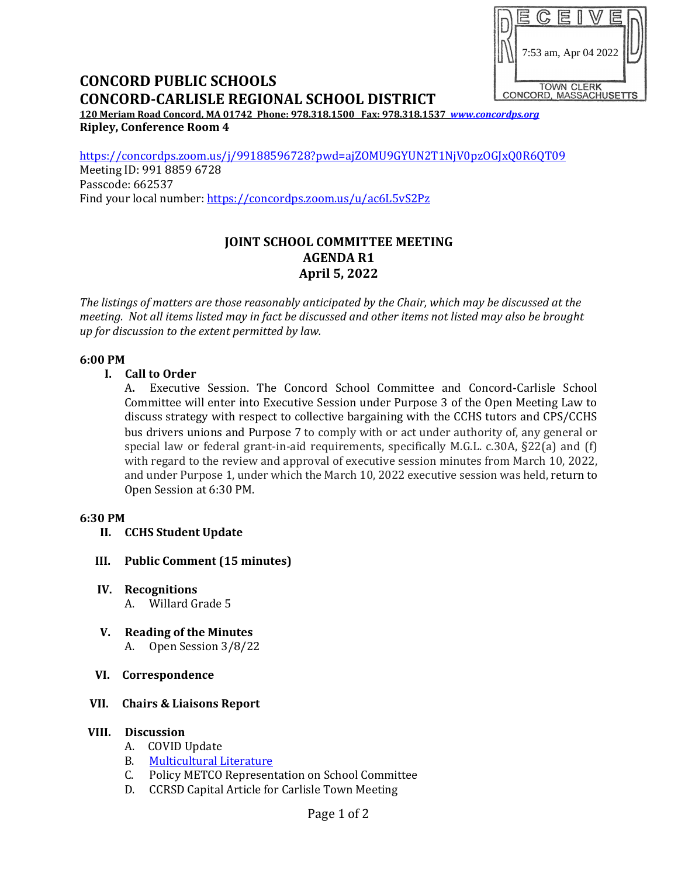

# **CONCORD PUBLIC SCHOOLS CONCORD-CARLISLE REGIONAL SCHOOL DISTRICT**

**120 Meriam Road Concord, MA 01742 Phone: 978.318.1500 Fax: 978.318.1537** *[www.concordps.org](http://www.concordps.org/)* **Ripley, Conference Room 4**

<https://concordps.zoom.us/j/99188596728?pwd=ajZOMU9GYUN2T1NjV0pzOGJxQ0R6QT09> Meeting ID: 991 8859 6728 Passcode: 662537 Find your local number:<https://concordps.zoom.us/u/ac6L5vS2Pz>

#### **JOINT SCHOOL COMMITTEE MEETING AGENDA R1 April 5, 2022**

*The listings of matters are those reasonably anticipated by the Chair, which may be discussed at the meeting. Not all items listed may in fact be discussed and other items not listed may also be brought up for discussion to the extent permitted by law.*

#### **6:00 PM**

#### **I. Call to Order**

A**.** Executive Session. The Concord School Committee and Concord-Carlisle School Committee will enter into Executive Session under Purpose 3 of the Open Meeting Law to discuss strategy with respect to collective bargaining with the CCHS tutors and CPS/CCHS bus drivers unions and Purpose 7 to comply with or act under authority of, any general or special law or federal grant-in-aid requirements, specifically M.G.L. c.30A, §22(a) and (f) with regard to the review and approval of executive session minutes from March 10, 2022, and under Purpose 1, under which the March 10, 2022 executive session was held, return to Open Session at 6:30 PM.

#### **6:30 PM**

- **II. CCHS Student Update**
- **III. Public Comment (15 minutes)**
- **IV. Recognitions**
	- A. Willard Grade 5
- **V. Reading of the Minutes** A. Open Session 3/8/22
- **VI. Correspondence**

#### **VII. Chairs & Liaisons Report**

#### **VIII. Discussion**

- A. COVID Update
- B. [Multicultural Literature](https://www.concordps.org/wp-content/uploads/2022/03/Cultural-Competency-in-Literature-21-22.pdf)
- C. Policy METCO Representation on School Committee
- D. CCRSD Capital Article for Carlisle Town Meeting